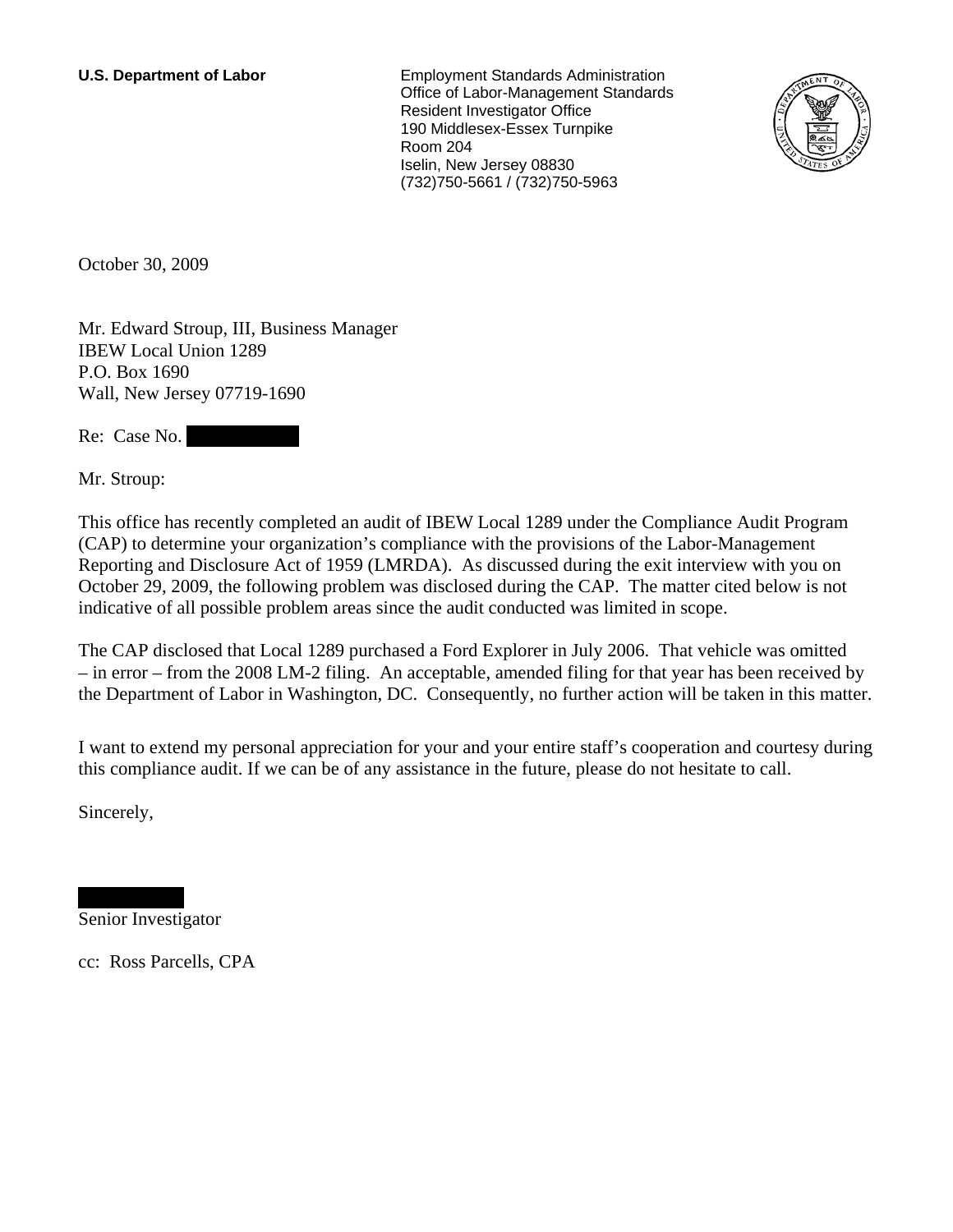**U.S. Department of Labor** Employment Standards Administration Office of Labor-Management Standards Resident Investigator Office 190 Middlesex-Essex Turnpike Room 204 Iselin, New Jersey 08830 (732)750-5661 / (732)750-5963



October 30, 2009

Mr. Edward Stroup, III, Business Manager IBEW Local Union 1289 P.O. Box 1690 Wall, New Jersey 07719-1690

Re: Case No.

Mr. Stroup:

This office has recently completed an audit of IBEW Local 1289 under the Compliance Audit Program (CAP) to determine your organization's compliance with the provisions of the Labor-Management Reporting and Disclosure Act of 1959 (LMRDA). As discussed during the exit interview with you on October 29, 2009, the following problem was disclosed during the CAP. The matter cited below is not indicative of all possible problem areas since the audit conducted was limited in scope.

The CAP disclosed that Local 1289 purchased a Ford Explorer in July 2006. That vehicle was omitted – in error – from the 2008 LM-2 filing. An acceptable, amended filing for that year has been received by the Department of Labor in Washington, DC. Consequently, no further action will be taken in this matter.

I want to extend my personal appreciation for your and your entire staff's cooperation and courtesy during this compliance audit. If we can be of any assistance in the future, please do not hesitate to call.

Sincerely,

Senior Investigator

|||||||||||||| |||||||||||||

cc: Ross Parcells, CPA